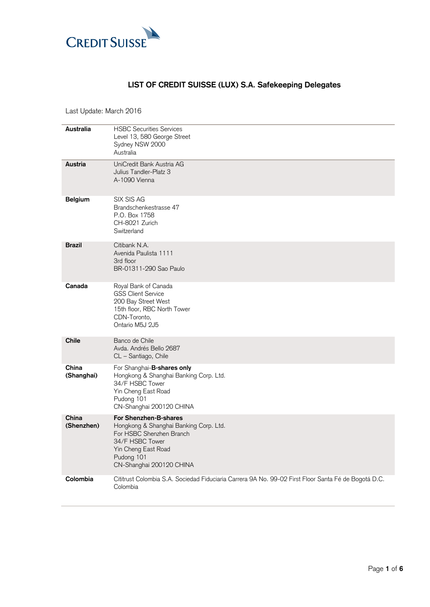

## **LIST OF CREDIT SUISSE (LUX) S.A. Safekeeping Delegates**

Last Update: March 2016

| Australia           | <b>HSBC Securities Services</b><br>Level 13, 580 George Street<br>Sydney NSW 2000<br>Australia                                                                                  |
|---------------------|---------------------------------------------------------------------------------------------------------------------------------------------------------------------------------|
| Austria             | UniCredit Bank Austria AG<br>Julius Tandler-Platz 3<br>A-1090 Vienna                                                                                                            |
| Belgium             | SIX SIS AG<br>Brandschenkestrasse 47<br>P.O. Box 1758<br>CH-8021 Zurich<br>Switzerland                                                                                          |
| Brazil              | Citibank N.A.<br>Avenida Paulista 1111<br>3rd floor<br>BR-01311-290 Sao Paulo                                                                                                   |
| Canada              | Royal Bank of Canada<br><b>GSS Client Service</b><br>200 Bay Street West<br>15th floor, RBC North Tower<br>CDN-Toronto,<br>Ontario M5J 2J5                                      |
| <b>Chile</b>        | Banco de Chile<br>Avda. Andrés Bello 2687<br>CL – Santiago, Chile                                                                                                               |
| China<br>(Shanghai) | For Shanghai-B-shares only<br>Hongkong & Shanghai Banking Corp. Ltd.<br>34/F HSBC Tower<br>Yin Cheng East Road<br>Pudong 101<br>CN-Shanghai 200120 CHINA                        |
| China<br>(Shenzhen) | For Shenzhen-B-shares<br>Hongkong & Shanghai Banking Corp. Ltd.<br>For HSBC Shenzhen Branch<br>34/F HSBC Tower<br>Yin Cheng East Road<br>Pudong 101<br>CN-Shanghai 200120 CHINA |
| Colombia            | Cititrust Colombia S.A. Sociedad Fiduciaria Carrera 9A No. 99-02 First Floor Santa Fé de Bogotá D.C.<br>Colombia                                                                |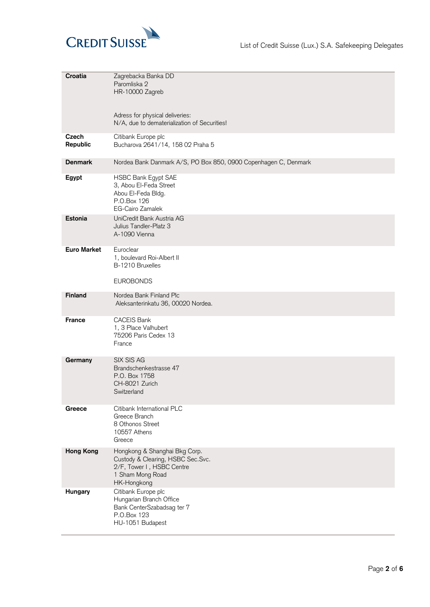

| Croatia            | Zagrebacka Banka DD<br>Paromliska 2<br>HR-10000 Zagreb                                                                             |
|--------------------|------------------------------------------------------------------------------------------------------------------------------------|
|                    | Adress for physical deliveries:<br>N/A, due to dematerialization of Securities!                                                    |
| Czech<br>Republic  | Citibank Europe plc<br>Bucharova 2641/14, 158 02 Praha 5                                                                           |
| <b>Denmark</b>     | Nordea Bank Danmark A/S, PO Box 850, 0900 Copenhagen C, Denmark                                                                    |
| Egypt              | HSBC Bank Egypt SAE<br>3, Abou El-Feda Street<br>Abou El-Feda Bldg.<br>P.O.Box 126<br><b>EG-Cairo Zamalek</b>                      |
| Estonia            | UniCredit Bank Austria AG<br>Julius Tandler-Platz 3<br>A-1090 Vienna                                                               |
| <b>Euro Market</b> | Euroclear<br>1, boulevard Roi-Albert II<br>B-1210 Bruxelles<br><b>EUROBONDS</b>                                                    |
| Finland            | Nordea Bank Finland Plc                                                                                                            |
|                    | Aleksanterinkatu 36, 00020 Nordea.                                                                                                 |
| <b>France</b>      | <b>CACEIS Bank</b><br>1, 3 Place Valhubert<br>75206 Paris Cedex 13<br>France                                                       |
| Germany            | SIX SIS AG<br>Brandschenkestrasse 47<br>P.O. Box 1758<br>CH-8021 Zurich<br>Switzerland                                             |
| Greece             | Citibank International PLC<br>Greece Branch<br>8 Othonos Street<br>10557 Athens<br>Greece                                          |
| <b>Hong Kong</b>   | Hongkong & Shanghai Bkg Corp.<br>Custody & Clearing, HSBC Sec.Svc.<br>2/F, Tower I, HSBC Centre<br>1 Sham Mong Road<br>HK-Hongkong |
| Hungary            | Citibank Europe plc<br>Hungarian Branch Office<br>Bank CenterSzabadsag ter 7<br>P.O.Box 123<br>HU-1051 Budapest                    |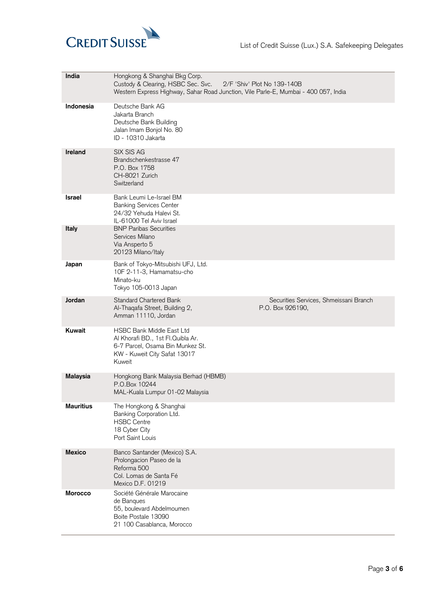

| India                  | Hongkong & Shanghai Bkg Corp.<br>Custody & Clearing, HSBC Sec. Svc.<br>2/F 'Shiv' Plot No 139-140B<br>Western Express Highway, Sahar Road Junction, Vile Parle-E, Mumbai - 400 057, India |                                                            |
|------------------------|-------------------------------------------------------------------------------------------------------------------------------------------------------------------------------------------|------------------------------------------------------------|
| Indonesia              | Deutsche Bank AG<br>Jakarta Branch<br>Deutsche Bank Building<br>Jalan Imam Bonjol No. 80<br>ID - 10310 Jakarta                                                                            |                                                            |
| Ireland                | SIX SIS AG<br>Brandschenkestrasse 47<br>P.O. Box 1758<br>CH-8021 Zurich<br>Switzerland                                                                                                    |                                                            |
| Israel<br><b>Italy</b> | Bank Leumi Le-Israel BM<br><b>Banking Services Center</b><br>24/32 Yehuda Halevi St.<br>IL-61000 Tel Aviv Israel<br><b>BNP Paribas Securities</b>                                         |                                                            |
|                        | Services Milano<br>Via Ansperto 5<br>20123 Milano/Italy                                                                                                                                   |                                                            |
| Japan                  | Bank of Tokyo-Mitsubishi UFJ, Ltd.<br>10F 2-11-3, Hamamatsu-cho<br>Minato-ku<br>Tokyo 105-0013 Japan                                                                                      |                                                            |
| Jordan                 | Standard Chartered Bank<br>Al-Thaqafa Street, Building 2,<br>Amman 11110, Jordan                                                                                                          | Securities Services, Shmeissani Branch<br>P.O. Box 926190, |
| Kuwait                 | HSBC Bank Middle East Ltd<br>Al Khorafi BD., 1st Fl.Quibla Ar.<br>6-7 Parcel, Osama Bin Munkez St.<br>KW - Kuweit City Safat 13017<br>Kuweit                                              |                                                            |
| <b>Malaysia</b>        | Hongkong Bank Malaysia Berhad (HBMB)<br>P.O.Box 10244<br>MAL-Kuala Lumpur 01-02 Malaysia                                                                                                  |                                                            |
| <b>Mauritius</b>       | The Hongkong & Shanghai<br>Banking Corporation Ltd.<br><b>HSBC Centre</b><br>18 Cyber City<br>Port Saint Louis                                                                            |                                                            |
| <b>Mexico</b>          | Banco Santander (Mexico) S.A.<br>Prolongacion Paseo de la<br>Reforma 500<br>Col. Lomas de Santa Fé<br>Mexico D.F. 01219                                                                   |                                                            |
| <b>Morocco</b>         | Société Générale Marocaine<br>de Banques<br>55, boulevard Abdelmoumen<br>Boite Postale 13090<br>21 100 Casablanca, Morocco                                                                |                                                            |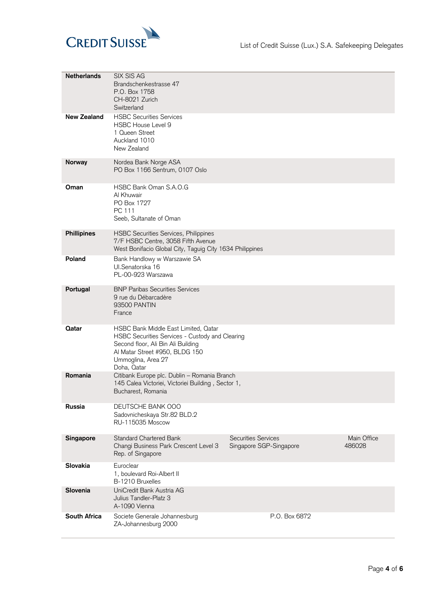

| <b>Netherlands</b>  | SIX SIS AG<br>Brandschenkestrasse 47<br>P.O. Box 1758<br>CH-8021 Zurich<br>Switzerland                                                                                                               |                                                       |                       |
|---------------------|------------------------------------------------------------------------------------------------------------------------------------------------------------------------------------------------------|-------------------------------------------------------|-----------------------|
| <b>New Zealand</b>  | <b>HSBC Securities Services</b><br><b>HSBC House Level 9</b><br>1 Queen Street<br>Auckland 1010<br>New Zealand                                                                                       |                                                       |                       |
| Norway              | Nordea Bank Norge ASA<br>PO Box 1166 Sentrum, 0107 Oslo                                                                                                                                              |                                                       |                       |
| Oman                | HSBC Bank Oman S.A.O.G<br>Al Khuwair<br>PO Box 1727<br>PC 111<br>Seeb, Sultanate of Oman                                                                                                             |                                                       |                       |
| <b>Phillipines</b>  | <b>HSBC Securities Services, Philippines</b><br>7/F HSBC Centre, 3058 Fifth Avenue<br>West Bonifacio Global City, Taguig City 1634 Philippines                                                       |                                                       |                       |
| Poland              | Bank Handlowy w Warszawie SA<br>Ul.Senatorska 16<br>PL-00-923 Warszawa                                                                                                                               |                                                       |                       |
| Portugal            | <b>BNP Paribas Securities Services</b><br>9 rue du Débarcadère<br>93500 PANTIN<br>France                                                                                                             |                                                       |                       |
| Qatar               | HSBC Bank Middle East Limited, Qatar<br>HSBC Securities Services - Custody and Clearing<br>Second floor, Ali Bin Ali Building<br>Al Matar Street #950, BLDG 150<br>Ummoglina, Area 27<br>Doha, Qatar |                                                       |                       |
| Romania             | Citibank Europe plc. Dublin - Romania Branch<br>145 Calea Victoriei, Victoriei Building, Sector 1,<br>Bucharest, Romania                                                                             |                                                       |                       |
| Russia              | DEUTSCHE BANK 000<br>Sadovnicheskaya Str.82 BLD.2<br>RU-115035 Moscow                                                                                                                                |                                                       |                       |
| Singapore           | <b>Standard Chartered Bank</b><br>Changi Business Park Crescent Level 3<br>Rep. of Singapore                                                                                                         | <b>Securities Services</b><br>Singapore SGP-Singapore | Main Office<br>486028 |
| Slovakia            | Euroclear<br>1, boulevard Roi-Albert II<br>B-1210 Bruxelles                                                                                                                                          |                                                       |                       |
| Slovenia            | UniCredit Bank Austria AG<br>Julius Tandler-Platz 3<br>A-1090 Vienna                                                                                                                                 |                                                       |                       |
| <b>South Africa</b> | Societe Generale Johannesburg<br>ZA-Johannesburg 2000                                                                                                                                                | P.O. Box 6872                                         |                       |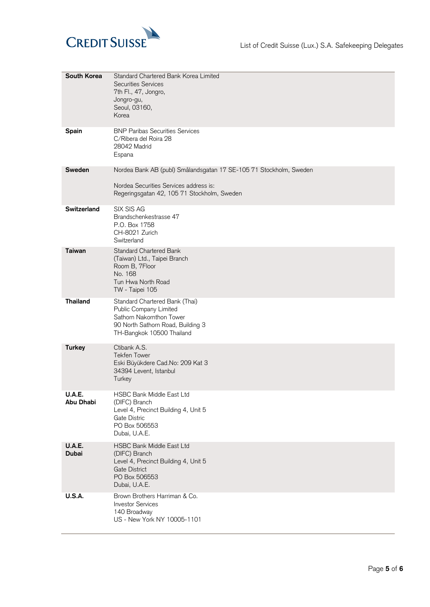

| South Korea                   | Standard Chartered Bank Korea Limited<br><b>Securities Services</b><br>7th Fl., 47, Jongro,<br>Jongro-gu,<br>Seoul, 03160,<br>Korea                         |
|-------------------------------|-------------------------------------------------------------------------------------------------------------------------------------------------------------|
| <b>Spain</b>                  | <b>BNP Paribas Securities Services</b><br>C/Ribera del Roira 28<br>28042 Madrid<br>Espana                                                                   |
| Sweden                        | Nordea Bank AB (publ) Smålandsgatan 17 SE-105 71 Stockholm, Sweden<br>Nordea Securities Services address is:<br>Regeringsgatan 42, 105 71 Stockholm, Sweden |
| <b>Switzerland</b>            | SIX SIS AG<br>Brandschenkestrasse 47<br>P.O. Box 1758<br>CH-8021 Zurich<br>Switzerland                                                                      |
| <b>Taiwan</b>                 | <b>Standard Chartered Bank</b><br>(Taiwan) Ltd., Taipei Branch<br>Room B, 7Floor<br>No. 168<br>Tun Hwa North Road<br>TW - Taipei 105                        |
| <b>Thailand</b>               | Standard Chartered Bank (Thai)<br>Public Company Limited<br>Sathorn Nakornthon Tower<br>90 North Sathorn Road, Building 3<br>TH-Bangkok 10500 Thailand      |
| <b>Turkey</b>                 | Ctibank A.S.<br><b>Tekfen Tower</b><br>Eski Büyükdere Cad.No: 209 Kat 3<br>34394 Levent, Istanbul<br>Turkey                                                 |
| <b>U.A.E.</b><br>Abu Dhabi    | HSBC Bank Middle East Ltd<br>(DIFC) Branch<br>Level 4, Precinct Building 4, Unit 5<br>Gate Distric<br>PO Box 506553<br>Dubai, U.A.E.                        |
| <b>U.A.E.</b><br><b>Dubai</b> | <b>HSBC Bank Middle East Ltd</b><br>(DIFC) Branch<br>Level 4, Precinct Building 4, Unit 5<br><b>Gate District</b><br>PO Box 506553<br>Dubai, U.A.E.         |
| <b>U.S.A.</b>                 | Brown Brothers Harriman & Co.<br><b>Investor Services</b><br>140 Broadway<br>US - New York NY 10005-1101                                                    |